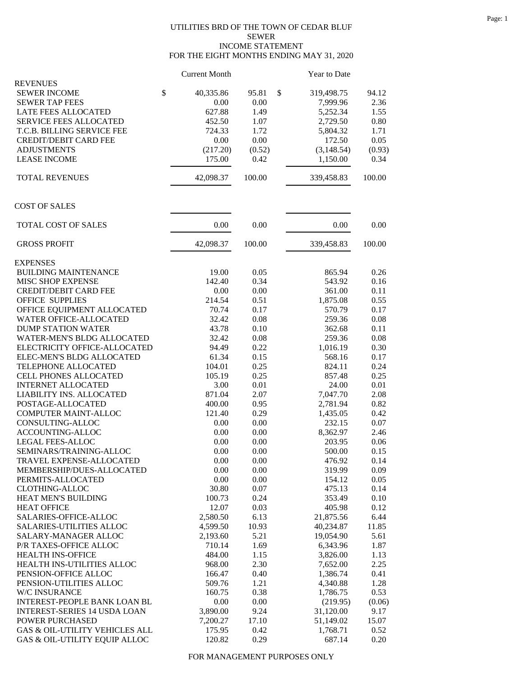## UTILITIES BRD OF THE TOWN OF CEDAR BLUF SEWER INCOME STATEMENT FOR THE EIGHT MONTHS ENDING MAY 31, 2020

|                                     | <b>Current Month</b> |        | Year to Date     |        |
|-------------------------------------|----------------------|--------|------------------|--------|
| <b>REVENUES</b>                     |                      |        |                  |        |
| <b>SEWER INCOME</b>                 | \$<br>40,335.86      | 95.81  | \$<br>319,498.75 | 94.12  |
| <b>SEWER TAP FEES</b>               | 0.00                 | 0.00   | 7,999.96         | 2.36   |
| LATE FEES ALLOCATED                 | 627.88               | 1.49   | 5,252.34         | 1.55   |
| <b>SERVICE FEES ALLOCATED</b>       | 452.50               | 1.07   | 2,729.50         | 0.80   |
| T.C.B. BILLING SERVICE FEE          | 724.33               | 1.72   | 5,804.32         | 1.71   |
| <b>CREDIT/DEBIT CARD FEE</b>        | 0.00                 | 0.00   | 172.50           | 0.05   |
| <b>ADJUSTMENTS</b>                  | (217.20)             | (0.52) | (3,148.54)       | (0.93) |
| <b>LEASE INCOME</b>                 | 175.00               | 0.42   | 1,150.00         | 0.34   |
| <b>TOTAL REVENUES</b>               | 42,098.37            | 100.00 | 339,458.83       | 100.00 |
| <b>COST OF SALES</b>                |                      |        |                  |        |
| TOTAL COST OF SALES                 | 0.00                 | 0.00   | 0.00             | 0.00   |
| <b>GROSS PROFIT</b>                 | 42,098.37            | 100.00 | 339,458.83       | 100.00 |
| <b>EXPENSES</b>                     |                      |        |                  |        |
| <b>BUILDING MAINTENANCE</b>         | 19.00                | 0.05   | 865.94           | 0.26   |
| MISC SHOP EXPENSE                   | 142.40               | 0.34   | 543.92           | 0.16   |
| <b>CREDIT/DEBIT CARD FEE</b>        | 0.00                 | 0.00   | 361.00           | 0.11   |
| <b>OFFICE SUPPLIES</b>              | 214.54               | 0.51   | 1,875.08         | 0.55   |
| OFFICE EQUIPMENT ALLOCATED          | 70.74                | 0.17   | 570.79           | 0.17   |
| WATER OFFICE-ALLOCATED              | 32.42                | 0.08   | 259.36           | 0.08   |
| <b>DUMP STATION WATER</b>           | 43.78                | 0.10   | 362.68           | 0.11   |
| <b>WATER-MEN'S BLDG ALLOCATED</b>   | 32.42                | 0.08   | 259.36           | 0.08   |
| ELECTRICITY OFFICE-ALLOCATED        | 94.49                | 0.22   | 1,016.19         | 0.30   |
| ELEC-MEN'S BLDG ALLOCATED           | 61.34                | 0.15   | 568.16           | 0.17   |
| TELEPHONE ALLOCATED                 | 104.01               | 0.25   | 824.11           | 0.24   |
| CELL PHONES ALLOCATED               | 105.19               | 0.25   | 857.48           | 0.25   |
| <b>INTERNET ALLOCATED</b>           | 3.00                 | 0.01   | 24.00            | 0.01   |
| LIABILITY INS. ALLOCATED            | 871.04               | 2.07   | 7,047.70         | 2.08   |
| POSTAGE-ALLOCATED                   | 400.00               | 0.95   | 2,781.94         | 0.82   |
| COMPUTER MAINT-ALLOC                | 121.40               | 0.29   | 1,435.05         | 0.42   |
| CONSULTING-ALLOC                    | 0.00                 | 0.00   | 232.15           | 0.07   |
| ACCOUNTING-ALLOC                    | 0.00                 | 0.00   | 8,362.97         | 2.46   |
| LEGAL FEES-ALLOC                    | 0.00                 | 0.00   | 203.95           | 0.06   |
| SEMINARS/TRAINING-ALLOC             | 0.00                 | 0.00   | 500.00           | 0.15   |
| TRAVEL EXPENSE-ALLOCATED            | 0.00                 | 0.00   | 476.92           | 0.14   |
| MEMBERSHIP/DUES-ALLOCATED           | 0.00                 | 0.00   | 319.99           | 0.09   |
| PERMITS-ALLOCATED                   | 0.00                 | 0.00   | 154.12           | 0.05   |
| <b>CLOTHING-ALLOC</b>               | 30.80                | 0.07   | 475.13           | 0.14   |
| HEAT MEN'S BUILDING                 | 100.73               | 0.24   | 353.49           | 0.10   |
| <b>HEAT OFFICE</b>                  | 12.07                | 0.03   | 405.98           | 0.12   |
| SALARIES-OFFICE-ALLOC               | 2,580.50             | 6.13   | 21,875.56        | 6.44   |
| <b>SALARIES-UTILITIES ALLOC</b>     | 4,599.50             | 10.93  | 40,234.87        | 11.85  |
| SALARY-MANAGER ALLOC                | 2,193.60             | 5.21   | 19,054.90        | 5.61   |
| P/R TAXES-OFFICE ALLOC              | 710.14               | 1.69   | 6,343.96         | 1.87   |
| <b>HEALTH INS-OFFICE</b>            | 484.00               | 1.15   | 3,826.00         | 1.13   |
| HEALTH INS-UTILITIES ALLOC          | 968.00               | 2.30   | 7,652.00         | 2.25   |
| PENSION-OFFICE ALLOC                | 166.47               | 0.40   | 1,386.74         | 0.41   |
| PENSION-UTILITIES ALLOC             | 509.76               | 1.21   | 4,340.88         | 1.28   |
| W/C INSURANCE                       | 160.75               | 0.38   | 1,786.75         | 0.53   |
| INTEREST-PEOPLE BANK LOAN BL        | 0.00                 | 0.00   | (219.95)         | (0.06) |
| <b>INTEREST-SERIES 14 USDA LOAN</b> | 3,890.00             | 9.24   | 31,120.00        | 9.17   |
| POWER PURCHASED                     | 7,200.27             | 17.10  | 51,149.02        | 15.07  |
| GAS & OIL-UTILITY VEHICLES ALL      | 175.95               | 0.42   | 1,768.71         | 0.52   |
| GAS & OIL-UTILITY EQUIP ALLOC       | 120.82               | 0.29   | 687.14           | 0.20   |